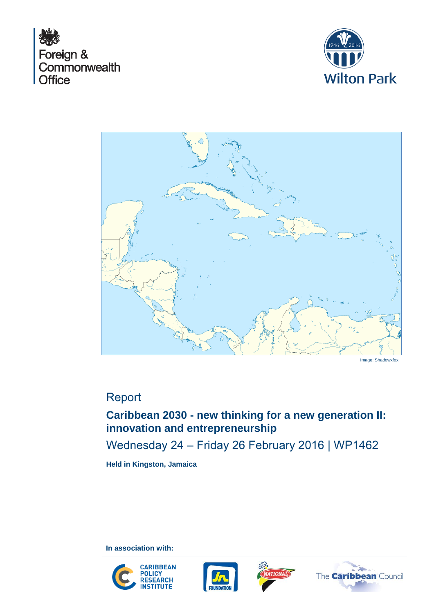





Image: Shadowxfox

# Report

# **Caribbean 2030 - new thinking for a new generation II: innovation and entrepreneurship**

Wednesday 24 – Friday 26 February 2016 | WP1462

**Held in Kingston, Jamaica**

**In association with:**







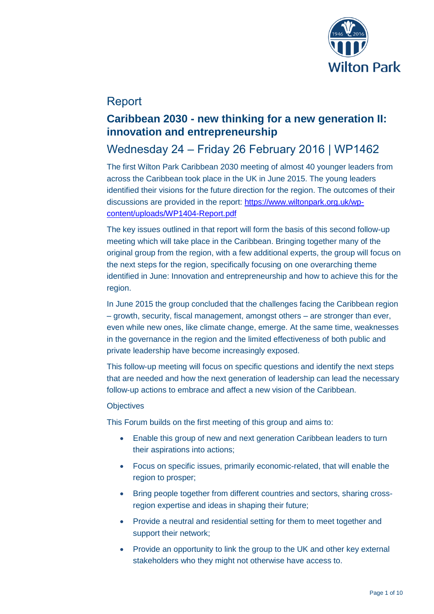

# Report

## **Caribbean 2030 - new thinking for a new generation II: innovation and entrepreneurship**

# Wednesday 24 – Friday 26 February 2016 | WP1462

The first Wilton Park Caribbean 2030 meeting of almost 40 younger leaders from across the Caribbean took place in the UK in June 2015. The young leaders identified their visions for the future direction for the region. The outcomes of their discussions are provided in the report: [https://www.wiltonpark.org.uk/wp](https://www.wiltonpark.org.uk/wp-content/uploads/WP1404-Report.pdf)[content/uploads/WP1404-Report.pdf](https://www.wiltonpark.org.uk/wp-content/uploads/WP1404-Report.pdf)

The key issues outlined in that report will form the basis of this second follow-up meeting which will take place in the Caribbean. Bringing together many of the original group from the region, with a few additional experts, the group will focus on the next steps for the region, specifically focusing on one overarching theme identified in June: Innovation and entrepreneurship and how to achieve this for the region.

In June 2015 the group concluded that the challenges facing the Caribbean region – growth, security, fiscal management, amongst others – are stronger than ever, even while new ones, like climate change, emerge. At the same time, weaknesses in the governance in the region and the limited effectiveness of both public and private leadership have become increasingly exposed.

This follow-up meeting will focus on specific questions and identify the next steps that are needed and how the next generation of leadership can lead the necessary follow-up actions to embrace and affect a new vision of the Caribbean.

#### **Objectives**

This Forum builds on the first meeting of this group and aims to:

- Enable this group of new and next generation Caribbean leaders to turn their aspirations into actions;
- Focus on specific issues, primarily economic-related, that will enable the region to prosper;
- Bring people together from different countries and sectors, sharing crossregion expertise and ideas in shaping their future;
- Provide a neutral and residential setting for them to meet together and support their network;
- Provide an opportunity to link the group to the UK and other key external stakeholders who they might not otherwise have access to.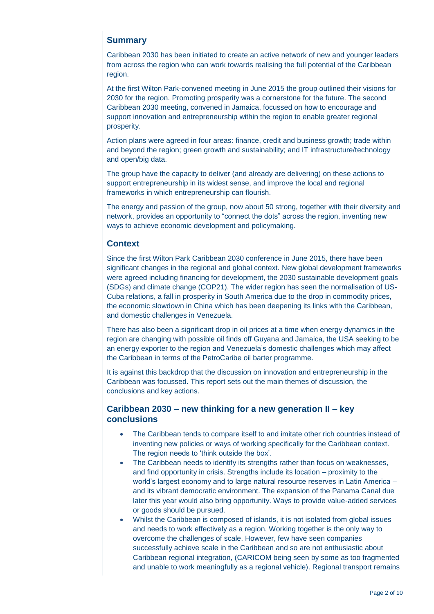## **Summary**

Caribbean 2030 has been initiated to create an active network of new and younger leaders from across the region who can work towards realising the full potential of the Caribbean region.

At the first Wilton Park-convened meeting in June 2015 the group outlined their visions for 2030 for the region. Promoting prosperity was a cornerstone for the future. The second Caribbean 2030 meeting, convened in Jamaica, focussed on how to encourage and support innovation and entrepreneurship within the region to enable greater regional prosperity.

Action plans were agreed in four areas: finance, credit and business growth; trade within and beyond the region; green growth and sustainability; and IT infrastructure/technology and open/big data.

The group have the capacity to deliver (and already are delivering) on these actions to support entrepreneurship in its widest sense, and improve the local and regional frameworks in which entrepreneurship can flourish.

The energy and passion of the group, now about 50 strong, together with their diversity and network, provides an opportunity to "connect the dots" across the region, inventing new ways to achieve economic development and policymaking.

## **Context**

Since the first Wilton Park Caribbean 2030 conference in June 2015, there have been significant changes in the regional and global context. New global development frameworks were agreed including financing for development, the 2030 sustainable development goals (SDGs) and climate change (COP21). The wider region has seen the normalisation of US-Cuba relations, a fall in prosperity in South America due to the drop in commodity prices, the economic slowdown in China which has been deepening its links with the Caribbean, and domestic challenges in Venezuela.

There has also been a significant drop in oil prices at a time when energy dynamics in the region are changing with possible oil finds off Guyana and Jamaica, the USA seeking to be an energy exporter to the region and Venezuela's domestic challenges which may affect the Caribbean in terms of the PetroCaribe oil barter programme.

It is against this backdrop that the discussion on innovation and entrepreneurship in the Caribbean was focussed. This report sets out the main themes of discussion, the conclusions and key actions.

## **Caribbean 2030 – new thinking for a new generation II – key conclusions**

- The Caribbean tends to compare itself to and imitate other rich countries instead of inventing new policies or ways of working specifically for the Caribbean context. The region needs to 'think outside the box'.
- The Caribbean needs to identify its strengths rather than focus on weaknesses, and find opportunity in crisis. Strengths include its location – proximity to the world's largest economy and to large natural resource reserves in Latin America – and its vibrant democratic environment. The expansion of the Panama Canal due later this year would also bring opportunity. Ways to provide value-added services or goods should be pursued.
- Whilst the Caribbean is composed of islands, it is not isolated from global issues and needs to work effectively as a region. Working together is the only way to overcome the challenges of scale. However, few have seen companies successfully achieve scale in the Caribbean and so are not enthusiastic about Caribbean regional integration, (CARICOM being seen by some as too fragmented and unable to work meaningfully as a regional vehicle). Regional transport remains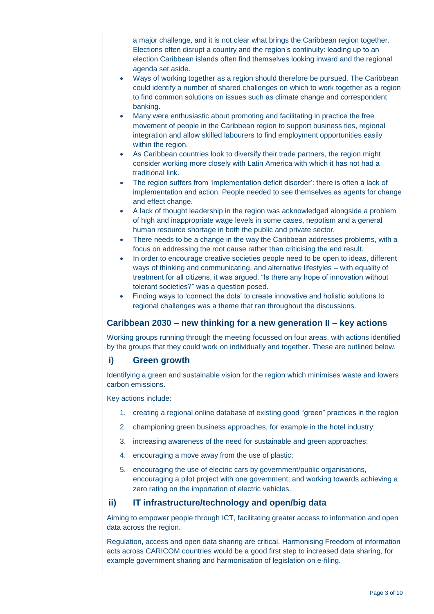a major challenge, and it is not clear what brings the Caribbean region together. Elections often disrupt a country and the region's continuity: leading up to an election Caribbean islands often find themselves looking inward and the regional agenda set aside.

- Ways of working together as a region should therefore be pursued. The Caribbean could identify a number of shared challenges on which to work together as a region to find common solutions on issues such as climate change and correspondent banking.
- Many were enthusiastic about promoting and facilitating in practice the free movement of people in the Caribbean region to support business ties, regional integration and allow skilled labourers to find employment opportunities easily within the region.
- As Caribbean countries look to diversify their trade partners, the region might consider working more closely with Latin America with which it has not had a traditional link.
- The region suffers from 'implementation deficit disorder': there is often a lack of implementation and action. People needed to see themselves as agents for change and effect change.
- A lack of thought leadership in the region was acknowledged alongside a problem of high and inappropriate wage levels in some cases, nepotism and a general human resource shortage in both the public and private sector.
- There needs to be a change in the way the Caribbean addresses problems, with a focus on addressing the root cause rather than criticising the end result.
- In order to encourage creative societies people need to be open to ideas, different ways of thinking and communicating, and alternative lifestyles – with equality of treatment for all citizens, it was argued. "Is there any hope of innovation without tolerant societies?" was a question posed.
- Finding ways to 'connect the dots' to create innovative and holistic solutions to regional challenges was a theme that ran throughout the discussions.

## **Caribbean 2030 – new thinking for a new generation II – key actions**

Working groups running through the meeting focussed on four areas, with actions identified by the groups that they could work on individually and together. These are outlined below.

## **i) Green growth**

Identifying a green and sustainable vision for the region which minimises waste and lowers carbon emissions.

Key actions include:

- 1. creating a regional online database of existing good "green" practices in the region
- 2. championing green business approaches, for example in the hotel industry;
- 3. increasing awareness of the need for sustainable and green approaches;
- 4. encouraging a move away from the use of plastic;
- 5. encouraging the use of electric cars by government/public organisations, encouraging a pilot project with one government; and working towards achieving a zero rating on the importation of electric vehicles.

## **ii) IT infrastructure/technology and open/big data**

Aiming to empower people through ICT, facilitating greater access to information and open data across the region.

Regulation, access and open data sharing are critical. Harmonising Freedom of information acts across CARICOM countries would be a good first step to increased data sharing, for example government sharing and harmonisation of legislation on e-filing.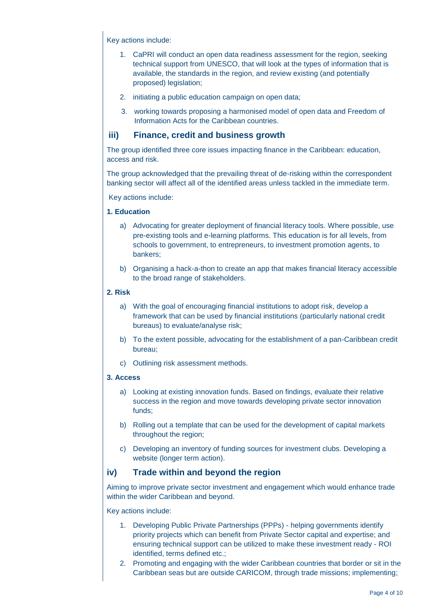Key actions include:

- 1. CaPRI will conduct an open data readiness assessment for the region, seeking technical support from UNESCO, that will look at the types of information that is available, the standards in the region, and review existing (and potentially proposed) legislation;
- 2. initiating a public education campaign on open data;
- 3. working towards proposing a harmonised model of open data and Freedom of Information Acts for the Caribbean countries.

### **iii) Finance, credit and business growth**

The group identified three core issues impacting finance in the Caribbean: education, access and risk.

The group acknowledged that the prevailing threat of de-risking within the correspondent banking sector will affect all of the identified areas unless tackled in the immediate term.

Key actions include:

#### **1. Education**

- a) Advocating for greater deployment of financial literacy tools. Where possible, use pre-existing tools and e-learning platforms. This education is for all levels, from schools to government, to entrepreneurs, to investment promotion agents, to bankers;
- b) Organising a hack-a-thon to create an app that makes financial literacy accessible to the broad range of stakeholders.

#### **2. Risk**

- a) With the goal of encouraging financial institutions to adopt risk, develop a framework that can be used by financial institutions (particularly national credit bureaus) to evaluate/analyse risk;
- b) To the extent possible, advocating for the establishment of a pan-Caribbean credit bureau;
- c) Outlining risk assessment methods.

#### **3. Access**

- a) Looking at existing innovation funds. Based on findings, evaluate their relative success in the region and move towards developing private sector innovation funds;
- b) Rolling out a template that can be used for the development of capital markets throughout the region;
- c) Developing an inventory of funding sources for investment clubs. Developing a website (longer term action).

## **iv) Trade within and beyond the region**

Aiming to improve private sector investment and engagement which would enhance trade within the wider Caribbean and beyond.

Key actions include:

- 1. Developing Public Private Partnerships (PPPs) helping governments identify priority projects which can benefit from Private Sector capital and expertise; and ensuring technical support can be utilized to make these investment ready - ROI identified, terms defined etc.;
- 2. Promoting and engaging with the wider Caribbean countries that border or sit in the Caribbean seas but are outside CARICOM, through trade missions; implementing;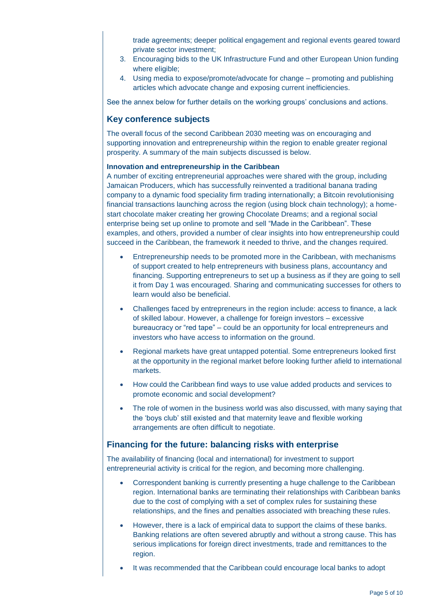trade agreements; deeper political engagement and regional events geared toward private sector investment;

- 3. Encouraging bids to the UK Infrastructure Fund and other European Union funding where eligible;
- 4. Using media to expose/promote/advocate for change promoting and publishing articles which advocate change and exposing current inefficiencies.

See the annex below for further details on the working groups' conclusions and actions.

## **Key conference subjects**

The overall focus of the second Caribbean 2030 meeting was on encouraging and supporting innovation and entrepreneurship within the region to enable greater regional prosperity. A summary of the main subjects discussed is below.

#### **Innovation and entrepreneurship in the Caribbean**

A number of exciting entrepreneurial approaches were shared with the group, including Jamaican Producers, which has successfully reinvented a traditional banana trading company to a dynamic food speciality firm trading internationally; a Bitcoin revolutionising financial transactions launching across the region (using block chain technology); a homestart chocolate maker creating her growing Chocolate Dreams; and a regional social enterprise being set up online to promote and sell "Made in the Caribbean". These examples, and others, provided a number of clear insights into how entrepreneurship could succeed in the Caribbean, the framework it needed to thrive, and the changes required.

- Entrepreneurship needs to be promoted more in the Caribbean, with mechanisms of support created to help entrepreneurs with business plans, accountancy and financing. Supporting entrepreneurs to set up a business as if they are going to sell it from Day 1 was encouraged. Sharing and communicating successes for others to learn would also be beneficial.
- Challenges faced by entrepreneurs in the region include: access to finance, a lack of skilled labour. However, a challenge for foreign investors – excessive bureaucracy or "red tape" – could be an opportunity for local entrepreneurs and investors who have access to information on the ground.
- Regional markets have great untapped potential. Some entrepreneurs looked first at the opportunity in the regional market before looking further afield to international markets.
- How could the Caribbean find ways to use value added products and services to promote economic and social development?
- The role of women in the business world was also discussed, with many saying that the 'boys club' still existed and that maternity leave and flexible working arrangements are often difficult to negotiate.

#### **Financing for the future: balancing risks with enterprise**

The availability of financing (local and international) for investment to support entrepreneurial activity is critical for the region, and becoming more challenging.

- Correspondent banking is currently presenting a huge challenge to the Caribbean region. International banks are terminating their relationships with Caribbean banks due to the cost of complying with a set of complex rules for sustaining these relationships, and the fines and penalties associated with breaching these rules.
- However, there is a lack of empirical data to support the claims of these banks. Banking relations are often severed abruptly and without a strong cause. This has serious implications for foreign direct investments, trade and remittances to the region.
- It was recommended that the Caribbean could encourage local banks to adopt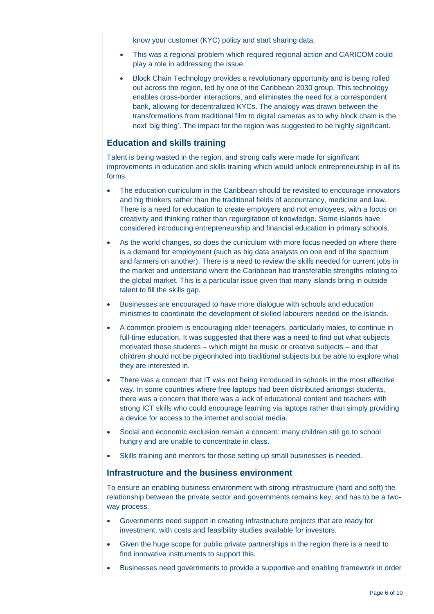know your customer (KYC) policy and start sharing data.

- This was a regional problem which required regional action and CARICOM could play a role in addressing the issue.
- Block Chain Technology provides a revolutionary opportunity and is being rolled out across the region, led by one of the Caribbean 2030 group. This technology enables cross-border interactions, and eliminates the need for a correspondent bank, allowing for decentralized KYCs. The analogy was drawn between the transformations from traditional film to digital cameras as to why block chain is the next 'big thing'. The impact for the region was suggested to be highly significant.

### **Education and skills training**

Talent is being wasted in the region, and strong calls were made for significant improvements in education and skills training which would unlock entrepreneurship in all its forms.

- The education curriculum in the Caribbean should be revisited to encourage innovators and big thinkers rather than the traditional fields of accountancy, medicine and law. There is a need for education to create employers and not employees, with a focus on creativity and thinking rather than regurgitation of knowledge. Some islands have considered introducing entrepreneurship and financial education in primary schools.
- As the world changes, so does the curriculum with more focus needed on where there is a demand for employment (such as big data analysts on one end of the spectrum and farmers on another). There is a need to review the skills needed for current jobs in the market and understand where the Caribbean had transferable strengths relating to the global market. This is a particular issue given that many islands bring in outside talent to fill the skills gap.
- Businesses are encouraged to have more dialogue with schools and education ministries to coordinate the development of skilled labourers needed on the islands.
- A common problem is encouraging older teenagers, particularly males, to continue in full-time education. It was suggested that there was a need to find out what subjects motivated these students – which might be music or creative subjects – and that children should not be pigeonholed into traditional subjects but be able to explore what they are interested in.
- There was a concern that IT was not being introduced in schools in the most effective way. In some countries where free laptops had been distributed amongst students, there was a concern that there was a lack of educational content and teachers with strong ICT skills who could encourage learning via laptops rather than simply providing a device for access to the internet and social media.
- Social and economic exclusion remain a concern: many children still go to school hungry and are unable to concentrate in class.
- Skills training and mentors for those setting up small businesses is needed.

#### **Infrastructure and the business environment**

To ensure an enabling business environment with strong infrastructure (hard and soft) the relationship between the private sector and governments remains key, and has to be a twoway process.

- Governments need support in creating infrastructure projects that are ready for investment, with costs and feasibility studies available for investors.
- Given the huge scope for public private partnerships in the region there is a need to find innovative instruments to support this.
- Businesses need governments to provide a supportive and enabling framework in order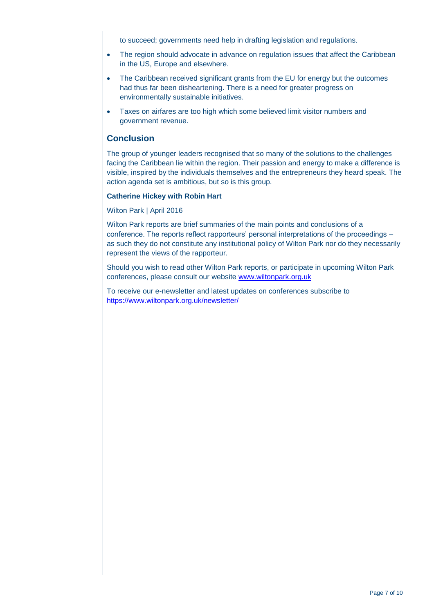to succeed; governments need help in drafting legislation and regulations.

- The region should advocate in advance on regulation issues that affect the Caribbean in the US, Europe and elsewhere.
- The Caribbean received significant grants from the EU for energy but the outcomes had thus far been disheartening. There is a need for greater progress on environmentally sustainable initiatives.
- Taxes on airfares are too high which some believed limit visitor numbers and government revenue.

## **Conclusion**

The group of younger leaders recognised that so many of the solutions to the challenges facing the Caribbean lie within the region. Their passion and energy to make a difference is visible, inspired by the individuals themselves and the entrepreneurs they heard speak. The action agenda set is ambitious, but so is this group.

#### **Catherine Hickey with Robin Hart**

Wilton Park | April 2016

Wilton Park reports are brief summaries of the main points and conclusions of a conference. The reports reflect rapporteurs' personal interpretations of the proceedings – as such they do not constitute any institutional policy of Wilton Park nor do they necessarily represent the views of the rapporteur.

Should you wish to read other Wilton Park reports, or participate in upcoming Wilton Park conferences, please consult our website [www.wiltonpark.org.uk](http://www.wiltonpark.org.uk/)

To receive our e-newsletter and latest updates on conferences subscribe to <https://www.wiltonpark.org.uk/newsletter/>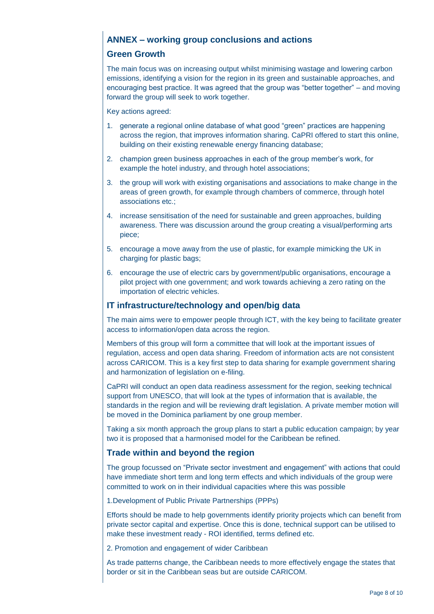# **ANNEX – working group conclusions and actions**

## **Green Growth**

The main focus was on increasing output whilst minimising wastage and lowering carbon emissions, identifying a vision for the region in its green and sustainable approaches, and encouraging best practice. It was agreed that the group was "better together" – and moving forward the group will seek to work together.

Key actions agreed:

- 1. generate a regional online database of what good "green" practices are happening across the region, that improves information sharing. CaPRI offered to start this online, building on their existing renewable energy financing database;
- 2. champion green business approaches in each of the group member's work, for example the hotel industry, and through hotel associations;
- 3. the group will work with existing organisations and associations to make change in the areas of green growth, for example through chambers of commerce, through hotel associations etc.;
- 4. increase sensitisation of the need for sustainable and green approaches, building awareness. There was discussion around the group creating a visual/performing arts piece;
- 5. encourage a move away from the use of plastic, for example mimicking the UK in charging for plastic bags;
- 6. encourage the use of electric cars by government/public organisations, encourage a pilot project with one government; and work towards achieving a zero rating on the importation of electric vehicles.

## **IT infrastructure/technology and open/big data**

The main aims were to empower people through ICT, with the key being to facilitate greater access to information/open data across the region.

Members of this group will form a committee that will look at the important issues of regulation, access and open data sharing. Freedom of information acts are not consistent across CARICOM. This is a key first step to data sharing for example government sharing and harmonization of legislation on e-filing.

CaPRI will conduct an open data readiness assessment for the region, seeking technical support from UNESCO, that will look at the types of information that is available, the standards in the region and will be reviewing draft legislation. A private member motion will be moved in the Dominica parliament by one group member.

Taking a six month approach the group plans to start a public education campaign; by year two it is proposed that a harmonised model for the Caribbean be refined.

## **Trade within and beyond the region**

The group focussed on "Private sector investment and engagement" with actions that could have immediate short term and long term effects and which individuals of the group were committed to work on in their individual capacities where this was possible

1.Development of Public Private Partnerships (PPPs)

Efforts should be made to help governments identify priority projects which can benefit from private sector capital and expertise. Once this is done, technical support can be utilised to make these investment ready - ROI identified, terms defined etc.

2. Promotion and engagement of wider Caribbean

As trade patterns change, the Caribbean needs to more effectively engage the states that border or sit in the Caribbean seas but are outside CARICOM.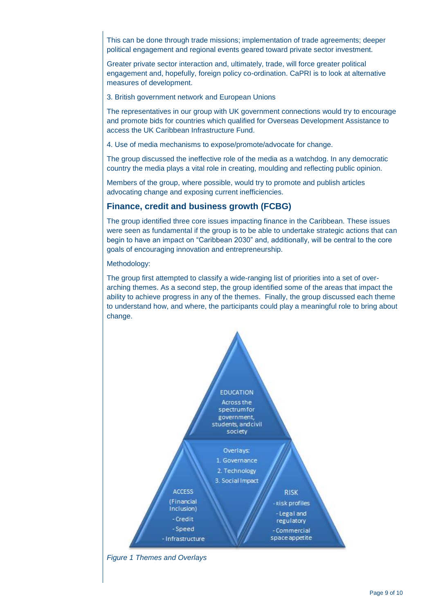This can be done through trade missions; implementation of trade agreements; deeper political engagement and regional events geared toward private sector investment.

Greater private sector interaction and, ultimately, trade, will force greater political engagement and, hopefully, foreign policy co-ordination. CaPRI is to look at alternative measures of development.

3. British government network and European Unions

The representatives in our group with UK government connections would try to encourage and promote bids for countries which qualified for Overseas Development Assistance to access the UK Caribbean Infrastructure Fund.

4. Use of media mechanisms to expose/promote/advocate for change.

The group discussed the ineffective role of the media as a watchdog. In any democratic country the media plays a vital role in creating, moulding and reflecting public opinion.

Members of the group, where possible, would try to promote and publish articles advocating change and exposing current inefficiencies.

## **Finance, credit and business growth (FCBG)**

The group identified three core issues impacting finance in the Caribbean. These issues were seen as fundamental if the group is to be able to undertake strategic actions that can begin to have an impact on "Caribbean 2030" and, additionally, will be central to the core goals of encouraging innovation and entrepreneurship.

Methodology:

The group first attempted to classify a wide-ranging list of priorities into a set of overarching themes. As a second step, the group identified some of the areas that impact the ability to achieve progress in any of the themes. Finally, the group discussed each theme to understand how, and where, the participants could play a meaningful role to bring about change.



*Figure 1 Themes and Overlays*